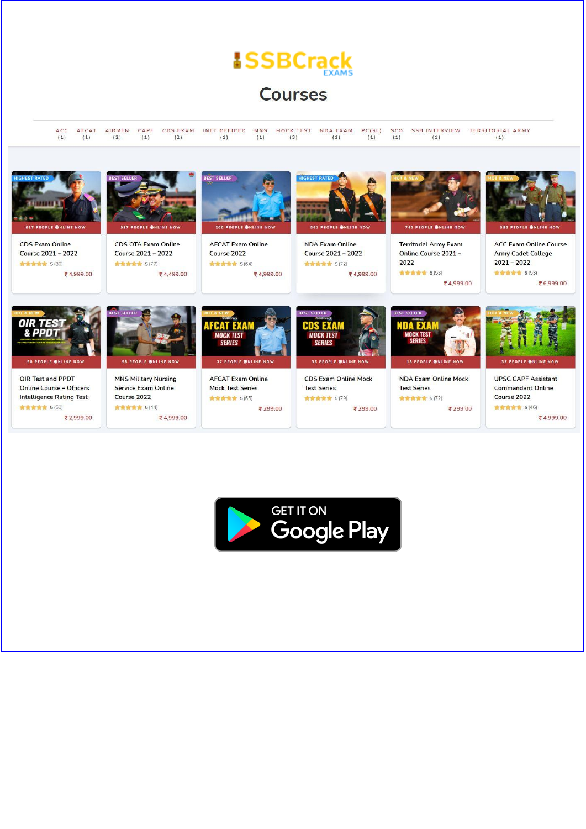**Courses** 

ACC AFCAT AIRMEN CAPF CDSEXAM INETOFFICER MNS MOCKTEST NDAEXAM PC(SL) SCO SSBINTERVIEW TERRITORIALARMY  $(1)$  $(1)$  $(2)$  $(1)$  $(2)$  $(1)$  $(1)$  $(3)$  $(1)$  $(1)$  $(1)$  $(1)$  $(1)$ 



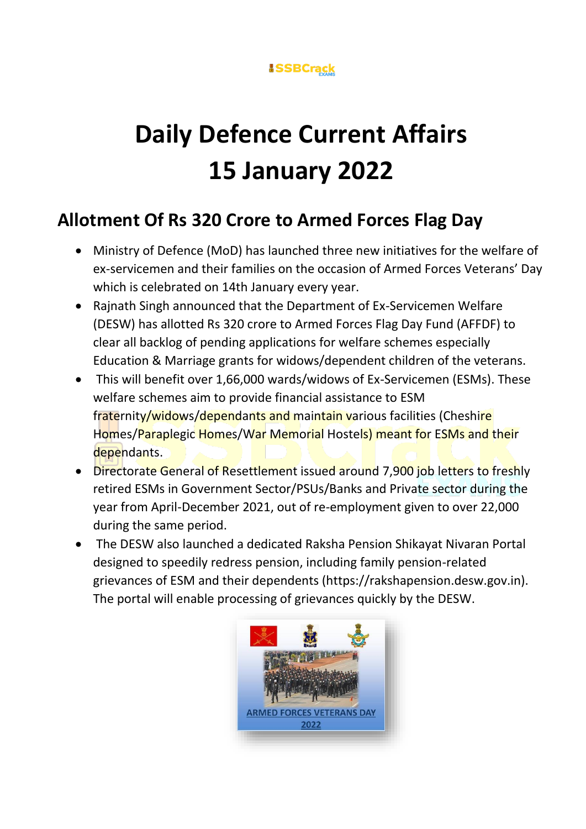

# **Daily Defence Current Affairs 15 January 2022**

### **Allotment Of Rs 320 Crore to Armed Forces Flag Day**

- Ministry of Defence (MoD) has launched three new initiatives for the welfare of ex-servicemen and their families on the occasion of Armed Forces Veterans' Day which is celebrated on 14th January every year.
- Rajnath Singh announced that the Department of Ex-Servicemen Welfare (DESW) has allotted Rs 320 crore to Armed Forces Flag Day Fund (AFFDF) to clear all backlog of pending applications for welfare schemes especially Education & Marriage grants for widows/dependent children of the veterans.
- This will benefit over 1,66,000 wards/widows of Ex-Servicemen (ESMs). These welfare schemes aim to provide financial assistance to ESM fraternity/widows/dependants and maintain various facilities (Cheshire Homes/Paraplegic Homes/War Memorial Hostels) meant for ESMs and their dependants.
- Directorate General of Resettlement issued around 7,900 job letters to freshly retired ESMs in Government Sector/PSUs/Banks and Private sector during the year from April-December 2021, out of re-employment given to over 22,000 during the same period.
- The DESW also launched a dedicated Raksha Pension Shikayat Nivaran Portal designed to speedily redress pension, including family pension-related grievances of ESM and their dependents (https://rakshapension.desw.gov.in). The portal will enable processing of grievances quickly by the DESW.

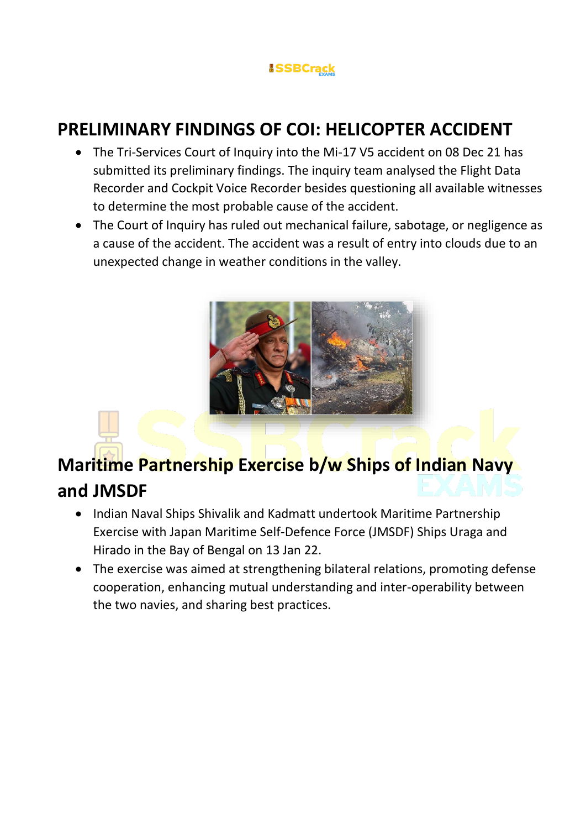### **PRELIMINARY FINDINGS OF COI: HELICOPTER ACCIDENT**

- The Tri-Services Court of Inquiry into the Mi-17 V5 accident on 08 Dec 21 has submitted its preliminary findings. The inquiry team analysed the Flight Data Recorder and Cockpit Voice Recorder besides questioning all available witnesses to determine the most probable cause of the accident.
- The Court of Inquiry has ruled out mechanical failure, sabotage, or negligence as a cause of the accident. The accident was a result of entry into clouds due to an unexpected change in weather conditions in the valley.



### **Maritime Partnership Exercise b/w Ships of Indian Navy and JMSDF**

- Indian Naval Ships Shivalik and Kadmatt undertook Maritime Partnership Exercise with Japan Maritime Self-Defence Force (JMSDF) Ships Uraga and Hirado in the Bay of Bengal on 13 Jan 22.
- The exercise was aimed at strengthening bilateral relations, promoting defense cooperation, enhancing mutual understanding and inter-operability between the two navies, and sharing best practices.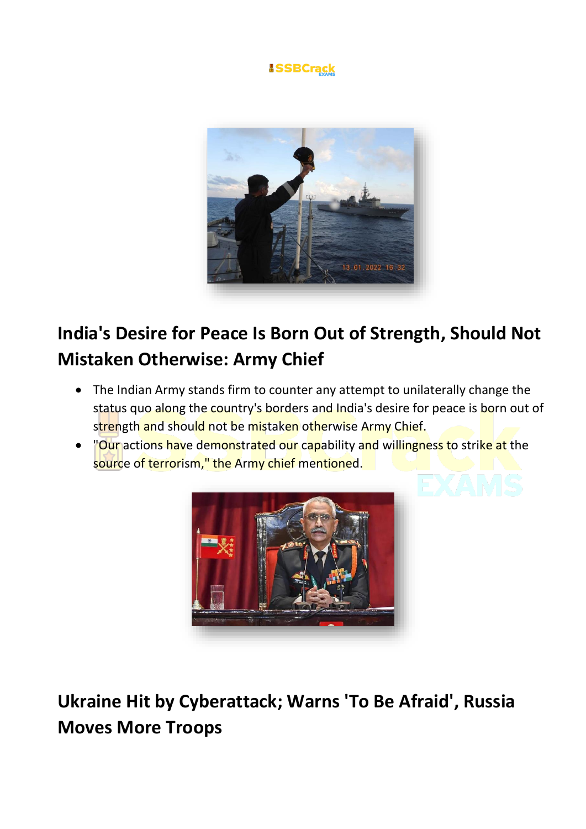



### **India's Desire for Peace Is Born Out of Strength, Should Not Mistaken Otherwise: Army Chief**

- The Indian Army stands firm to counter any attempt to unilaterally change the status quo along the country's borders and India's desire for peace is born out of strength and should not be mistaken otherwise Army Chief.
- "Our actions have demonstrated our capability and willingness to strike at the source of terrorism," the Army chief mentioned.



**Ukraine Hit by Cyberattack; Warns 'To Be Afraid', Russia Moves More Troops**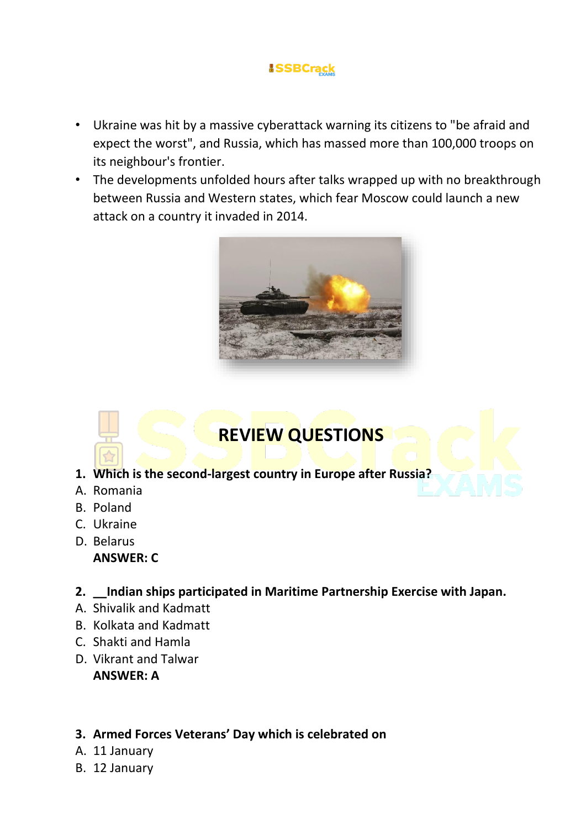- Ukraine was hit by a massive cyberattack warning its citizens to "be afraid and expect the worst", and Russia, which has massed more than 100,000 troops on its neighbour's frontier.
- The developments unfolded hours after talks wrapped up with no breakthrough between Russia and Western states, which fear Moscow could launch a new attack on a country it invaded in 2014.



### **REVIEW QUESTIONS**

- **1. Which is the second-largest country in Europe after Russia?**
- A. Romania
- B. Poland
- C. Ukraine
- D. Belarus **ANSWER: C**
- **2. \_\_Indian ships participated in Maritime Partnership Exercise with Japan.**
- A. Shivalik and Kadmatt
- B. Kolkata and Kadmatt
- C. Shakti and Hamla
- D. Vikrant and Talwar **ANSWER: A**

#### **3. Armed Forces Veterans' Day which is celebrated on**

- A. 11 January
- B. 12 January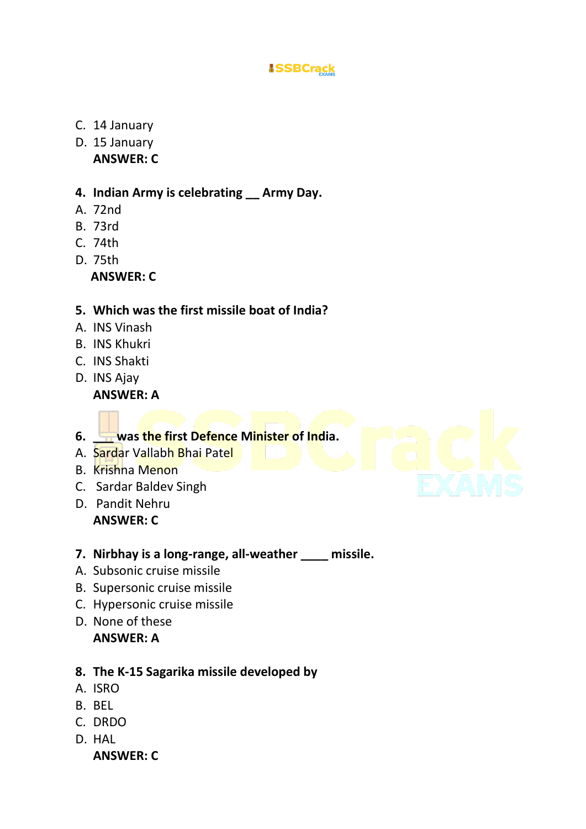- C. 14 January
- D. 15 January **ANSWER: C**

#### **4. Indian Army is celebrating \_\_ Army Day.**

- A. 72nd
- B. 73rd
- C. 74th
- D. 75th

 **ANSWER: C**

#### **5. Which was the first missile boat of India?**

- A. INS Vinash
- B. INS Khukri
- C. INS Shakti
- D. INS Ajay **ANSWER: A**

**6. \_\_\_ was the first Defence Minister of India.**

- A. Sardar Vallabh Bhai Patel
- B. Krishna Menon
- C. Sardar Baldev Singh
- D. Pandit Nehru **ANSWER: C**
- **7. Nirbhay is a long-range, all-weather \_\_\_\_ missile.**
- A. Subsonic cruise missile
- B. Supersonic cruise missile
- C. Hypersonic cruise missile
- D. None of these **ANSWER: A**

#### **8. The K-15 Sagarika missile developed by**

- A. ISRO
- B. BEL
- C. DRDO
- D. HAL

**ANSWER: C**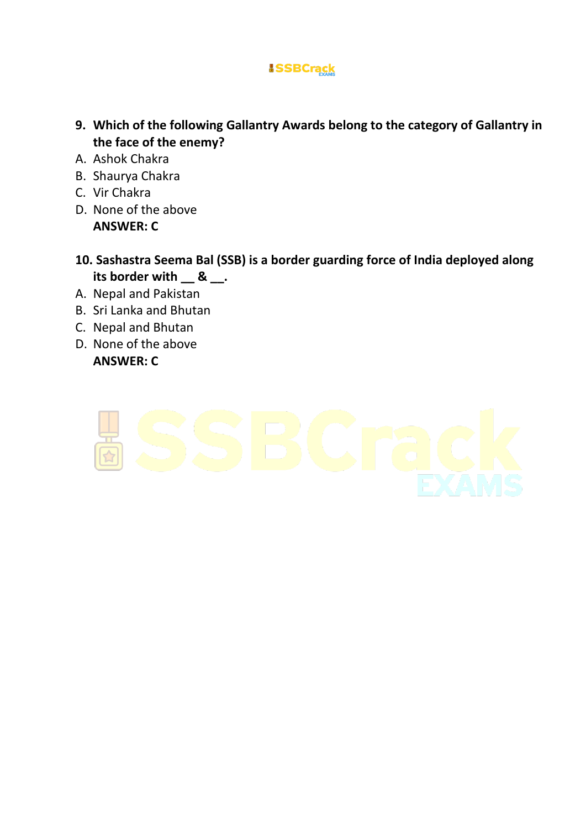- **9. Which of the following Gallantry Awards belong to the category of Gallantry in the face of the enemy?**
- A. Ashok Chakra
- B. Shaurya Chakra
- C. Vir Chakra
- D. None of the above **ANSWER: C**
- **10. Sashastra Seema Bal (SSB) is a border guarding force of India deployed along its border with \_\_ & \_\_.**
- A. Nepal and Pakistan
- B. Sri Lanka and Bhutan
- C. Nepal and Bhutan
- D. None of the above

#### **ANSWER: C**